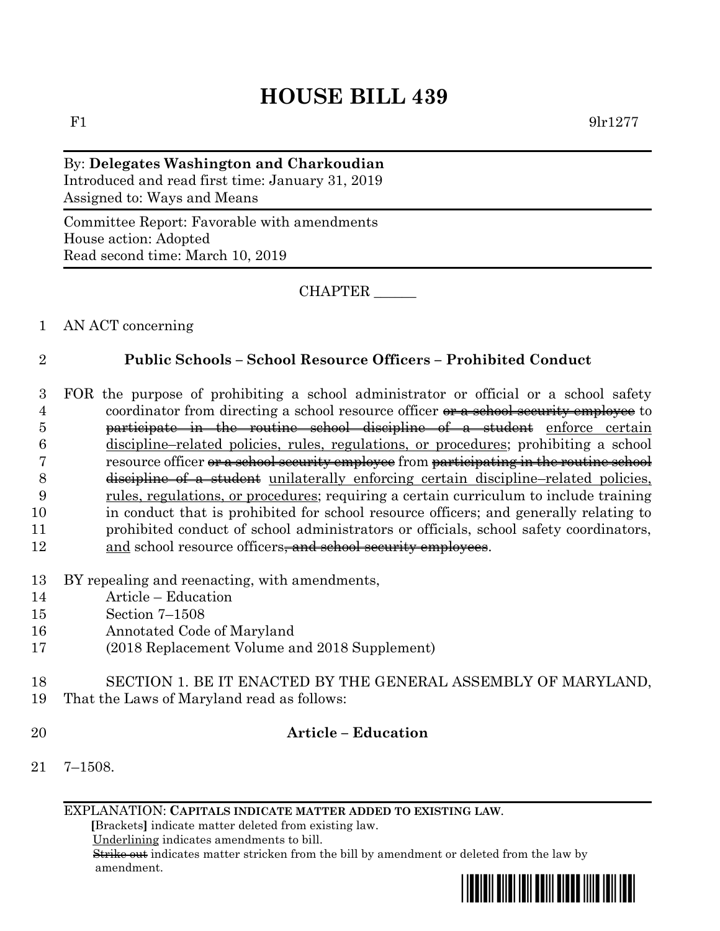# **HOUSE BILL 439**

By: **Delegates Washington and Charkoudian** Introduced and read first time: January 31, 2019 Assigned to: Ways and Means

Committee Report: Favorable with amendments House action: Adopted Read second time: March 10, 2019

CHAPTER \_\_\_\_\_\_

### 1 AN ACT concerning

# 2 **Public Schools – School Resource Officers – Prohibited Conduct**

- 3 FOR the purpose of prohibiting a school administrator or official or a school safety 4 coordinator from directing a school resource officer or a school security employee to 5 participate in the routine school discipline of a student enforce certain 6 discipline–related policies, rules, regulations, or procedures; prohibiting a school 7 resource officer or a school security employee from participating in the routine school 8 discipline of a student unilaterally enforcing certain discipline–related policies, 9 rules, regulations, or procedures; requiring a certain curriculum to include training 10 in conduct that is prohibited for school resource officers; and generally relating to 11 prohibited conduct of school administrators or officials, school safety coordinators, 12 and school resource officers<del>, and school security employees</del>.
- 13 BY repealing and reenacting, with amendments,
- 14 Article Education
- 15 Section 7–1508
- 16 Annotated Code of Maryland
- 17 (2018 Replacement Volume and 2018 Supplement)
- 18 SECTION 1. BE IT ENACTED BY THE GENERAL ASSEMBLY OF MARYLAND, 19 That the Laws of Maryland read as follows:
- 

# 20 **Article – Education**

21 7–1508.

EXPLANATION: **CAPITALS INDICATE MATTER ADDED TO EXISTING LAW**.

 **[**Brackets**]** indicate matter deleted from existing law.

Underlining indicates amendments to bill.

 Strike out indicates matter stricken from the bill by amendment or deleted from the law by amendment.

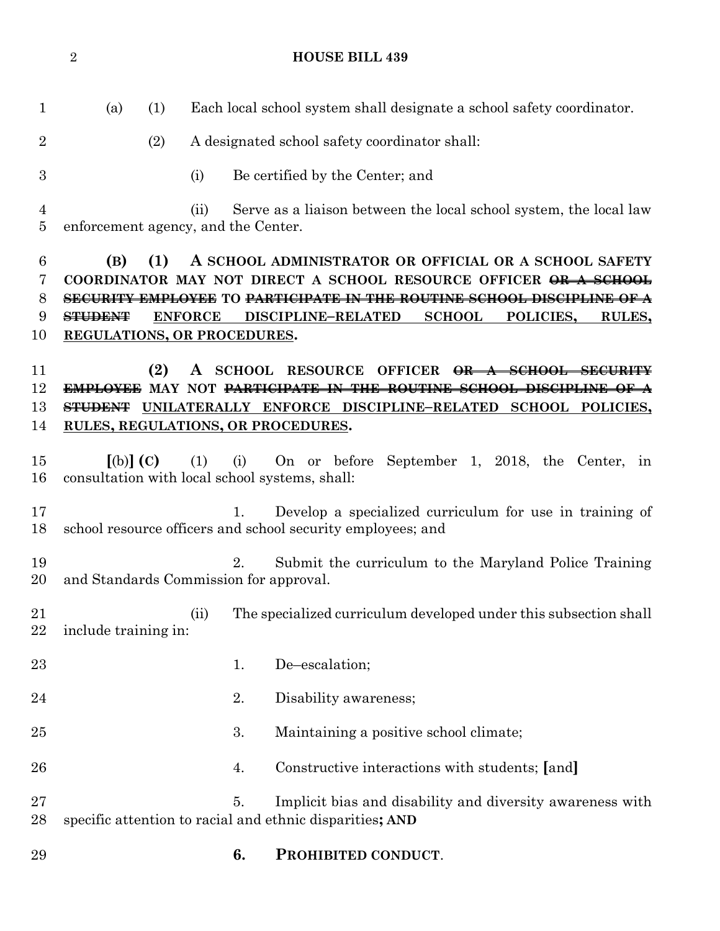**HOUSE BILL 439** (a) (1) Each local school system shall designate a school safety coordinator. (2) A designated school safety coordinator shall: (i) Be certified by the Center; and (ii) Serve as a liaison between the local school system, the local law enforcement agency, and the Center. **(B) (1) A SCHOOL ADMINISTRATOR OR OFFICIAL OR A SCHOOL SAFETY COORDINATOR MAY NOT DIRECT A SCHOOL RESOURCE OFFICER OR A SCHOOL SECURITY EMPLOYEE TO PARTICIPATE IN THE ROUTINE SCHOOL DISCIPLINE OF A STUDENT ENFORCE DISCIPLINE–RELATED SCHOOL POLICIES, RULES, REGULATIONS, OR PROCEDURES. (2) A SCHOOL RESOURCE OFFICER OR A SCHOOL SECURITY EMPLOYEE MAY NOT PARTICIPATE IN THE ROUTINE SCHOOL DISCIPLINE OF A STUDENT UNILATERALLY ENFORCE DISCIPLINE–RELATED SCHOOL POLICIES, RULES, REGULATIONS, OR PROCEDURES. [**(b)**] (C)** (1) (i) On or before September 1, 2018, the Center, in consultation with local school systems, shall: 1. Develop a specialized curriculum for use in training of school resource officers and school security employees; and 2. Submit the curriculum to the Maryland Police Training and Standards Commission for approval. 21 (ii) The specialized curriculum developed under this subsection shall include training in: 23 1. De–escalation; 24 2. Disability awareness; 25 3. Maintaining a positive school climate; 4. Constructive interactions with students; **[**and**]** 5. Implicit bias and disability and diversity awareness with specific attention to racial and ethnic disparities**; AND 6. PROHIBITED CONDUCT**.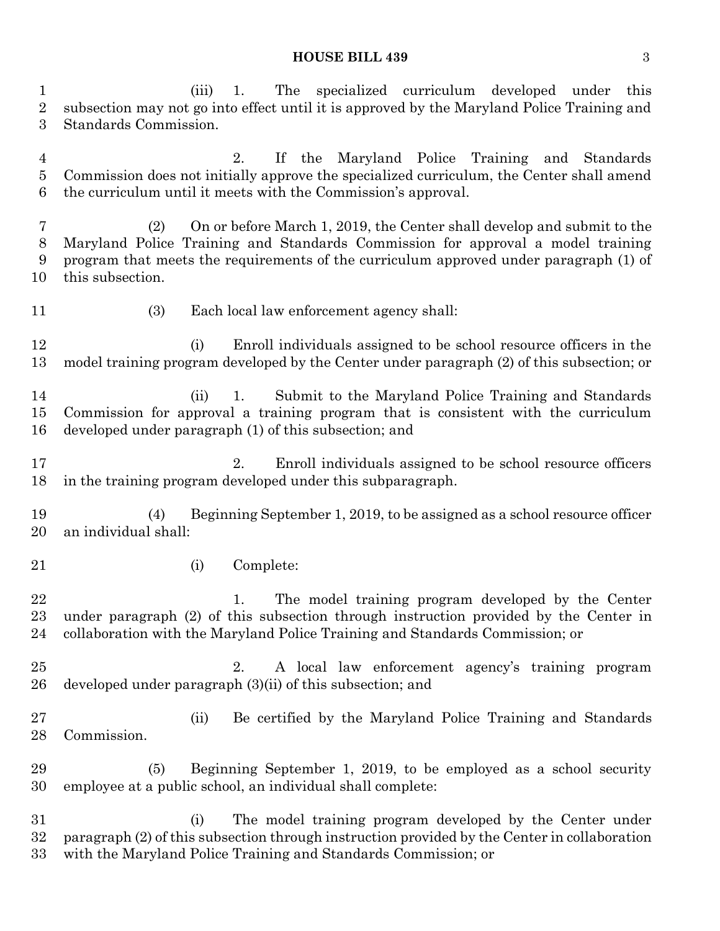#### **HOUSE BILL 439** 3

 (iii) 1. The specialized curriculum developed under this subsection may not go into effect until it is approved by the Maryland Police Training and Standards Commission.

 2. If the Maryland Police Training and Standards Commission does not initially approve the specialized curriculum, the Center shall amend the curriculum until it meets with the Commission's approval.

 (2) On or before March 1, 2019, the Center shall develop and submit to the Maryland Police Training and Standards Commission for approval a model training program that meets the requirements of the curriculum approved under paragraph (1) of this subsection.

(3) Each local law enforcement agency shall:

 (i) Enroll individuals assigned to be school resource officers in the model training program developed by the Center under paragraph (2) of this subsection; or

 (ii) 1. Submit to the Maryland Police Training and Standards Commission for approval a training program that is consistent with the curriculum developed under paragraph (1) of this subsection; and

 2. Enroll individuals assigned to be school resource officers in the training program developed under this subparagraph.

 (4) Beginning September 1, 2019, to be assigned as a school resource officer an individual shall:

(i) Complete:

22 1. The model training program developed by the Center under paragraph (2) of this subsection through instruction provided by the Center in collaboration with the Maryland Police Training and Standards Commission; or

 2. A local law enforcement agency's training program developed under paragraph (3)(ii) of this subsection; and

 (ii) Be certified by the Maryland Police Training and Standards Commission.

 (5) Beginning September 1, 2019, to be employed as a school security employee at a public school, an individual shall complete:

 (i) The model training program developed by the Center under paragraph (2) of this subsection through instruction provided by the Center in collaboration with the Maryland Police Training and Standards Commission; or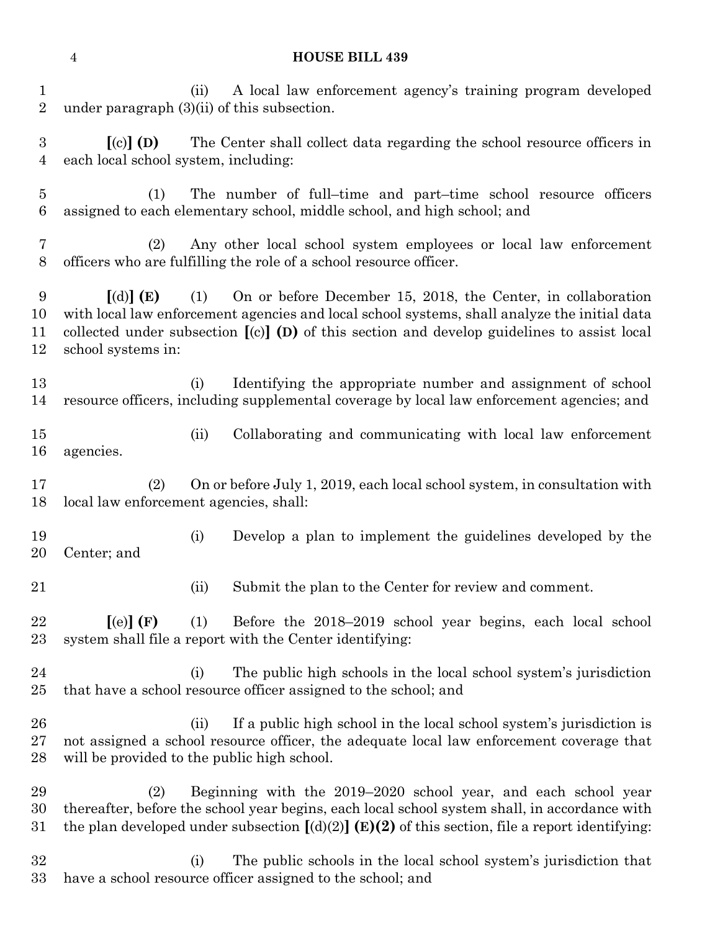# **HOUSE BILL 439**

| $\mathbf{1}$<br>$\sqrt{2}$         | under paragraph $(3)(ii)$ of this subsection.                                                                                                                                                                                                                                                                                 | (ii) | A local law enforcement agency's training program developed                                                                                                      |
|------------------------------------|-------------------------------------------------------------------------------------------------------------------------------------------------------------------------------------------------------------------------------------------------------------------------------------------------------------------------------|------|------------------------------------------------------------------------------------------------------------------------------------------------------------------|
| $\boldsymbol{3}$<br>$\overline{4}$ | $\left[ \text{(c)} \right]$ (D)<br>each local school system, including:                                                                                                                                                                                                                                                       |      | The Center shall collect data regarding the school resource officers in                                                                                          |
| $\overline{5}$<br>$\,6$            | The number of full-time and part-time school resource officers<br>(1)<br>assigned to each elementary school, middle school, and high school; and                                                                                                                                                                              |      |                                                                                                                                                                  |
| 7<br>$8\,$                         | Any other local school system employees or local law enforcement<br>(2)<br>officers who are fulfilling the role of a school resource officer.                                                                                                                                                                                 |      |                                                                                                                                                                  |
| 9<br>10<br>11<br>12                | On or before December 15, 2018, the Center, in collaboration<br>$\lbrack d \rbrack \rbrack$ (E)<br>(1)<br>with local law enforcement agencies and local school systems, shall analyze the initial data<br>collected under subsection $[(c)]$ (D) of this section and develop guidelines to assist local<br>school systems in: |      |                                                                                                                                                                  |
| 13<br>14                           |                                                                                                                                                                                                                                                                                                                               | (i)  | Identifying the appropriate number and assignment of school<br>resource officers, including supplemental coverage by local law enforcement agencies; and         |
| 15<br>16                           | agencies.                                                                                                                                                                                                                                                                                                                     | (ii) | Collaborating and communicating with local law enforcement                                                                                                       |
| 17<br>18                           | On or before July 1, 2019, each local school system, in consultation with<br>(2)<br>local law enforcement agencies, shall:                                                                                                                                                                                                    |      |                                                                                                                                                                  |
| 19<br>20                           | Center; and                                                                                                                                                                                                                                                                                                                   | (i)  | Develop a plan to implement the guidelines developed by the                                                                                                      |
| 21                                 |                                                                                                                                                                                                                                                                                                                               | (ii) | Submit the plan to the Center for review and comment.                                                                                                            |
| 22<br>23                           | $\left[ \text{ (e)} \right]$ (F)                                                                                                                                                                                                                                                                                              | (1)  | Before the 2018–2019 school year begins, each local school<br>system shall file a report with the Center identifying:                                            |
| 24<br>25                           |                                                                                                                                                                                                                                                                                                                               | (i)  | The public high schools in the local school system's jurisdiction<br>that have a school resource officer assigned to the school; and                             |
| 26<br>27<br>28                     | will be provided to the public high school.                                                                                                                                                                                                                                                                                   | (ii) | If a public high school in the local school system's jurisdiction is<br>not assigned a school resource officer, the adequate local law enforcement coverage that |
| 29<br>30<br>31                     | Beginning with the 2019–2020 school year, and each school year<br>(2)<br>thereafter, before the school year begins, each local school system shall, in accordance with<br>the plan developed under subsection $[(d)(2)]$ (E)(2) of this section, file a report identifying:                                                   |      |                                                                                                                                                                  |
| 32<br>33                           |                                                                                                                                                                                                                                                                                                                               | (i)  | The public schools in the local school system's jurisdiction that<br>have a school resource officer assigned to the school; and                                  |